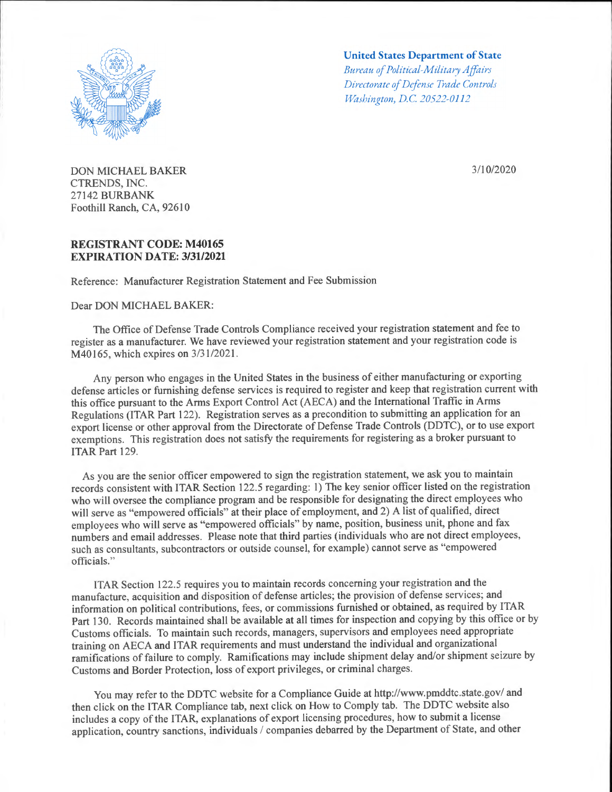

DON MICHAEL BAKER CTRENDS, INC. 27142 BURBANK Foothill Ranch, CA, 92610

## **REGISTRANT CODE: M40165 EXPIRATION DATE: 3/31/2021**

Reference: Manufacturer Registration Statement and Fee Submission

Dear DON MICHAEL BAKER:

## **United States Department of State**  *Bureau of Political-Military A jfairs*

*Directorate of Defense Trade Controls Washington, D.C 20522-0112* 

3/10/2020

The Office of Defense Trade Controls Compliance received your registration statement and fee to register as a manufacturer. We have reviewed your registration statement and your registration code is M40165, which expires on  $3/31/2021$ .

Any person who engages in the United States in the business of either manufacturing or exporting defense articles or furnishing defense services is required to register and keep that registration current with this office pursuant to the Arms Export Control Act (AECA) and the International Traffic in Arms Regulations (ITAR Part 122). Registration serves as a precondition to submitting an application for an export license or other approval from the Directorate of Defense Trade Controls (DDTC), or to use export exemptions. This registration does not satisfy the requirements for registering as a broker pursuant to ITAR Part 129.

As you are the senior officer empowered to sign the registration statement, we ask you to maintain records consistent with ITAR Section 122.5 regarding: 1) The key senior officer listed on the registration who will oversee the compliance program and be responsible for designating the direct employees who will serve as "empowered officials" at their place of employment, and 2) A list of qualified, direct employees who will serve as "empowered officials" by name, position, business unit, phone and fax numbers and email addresses. Please note that third parties (individuals who are not direct employees, such as consultants, subcontractors or outside counsel, for example) cannot serve as "empowered officials."

!TAR Section 122.5 requires you to maintain records concerning your registration and the manufacture, acquisition and disposition of defense articles; the provision of defense services; and information on political contributions, fees, or commissions furnished or obtained, as required by !TAR Part 130. Records maintained shall be available at all times for inspection and copying by this office or by Customs officials. To maintain such records, managers, supervisors and employees need appropriate training on AECA and !TAR requirements and must understand the individual and organizational ramifications of failure to comply. Ramifications may include shipment delay and/or shipment seizure by Customs and Border Protection, loss of export privileges, or criminal charges.

You may refer to the DDTC website for a Compliance Guide at http://www.pmddtc.state.gov/ and then click on the ITAR Compliance tab, next click on How to Comply tab. The DDTC website also includes a copy of the ITAR, explanations of export licensing procedures, how to submit a license application, country sanctions, individuals / companies debarred by the Department of State, and other